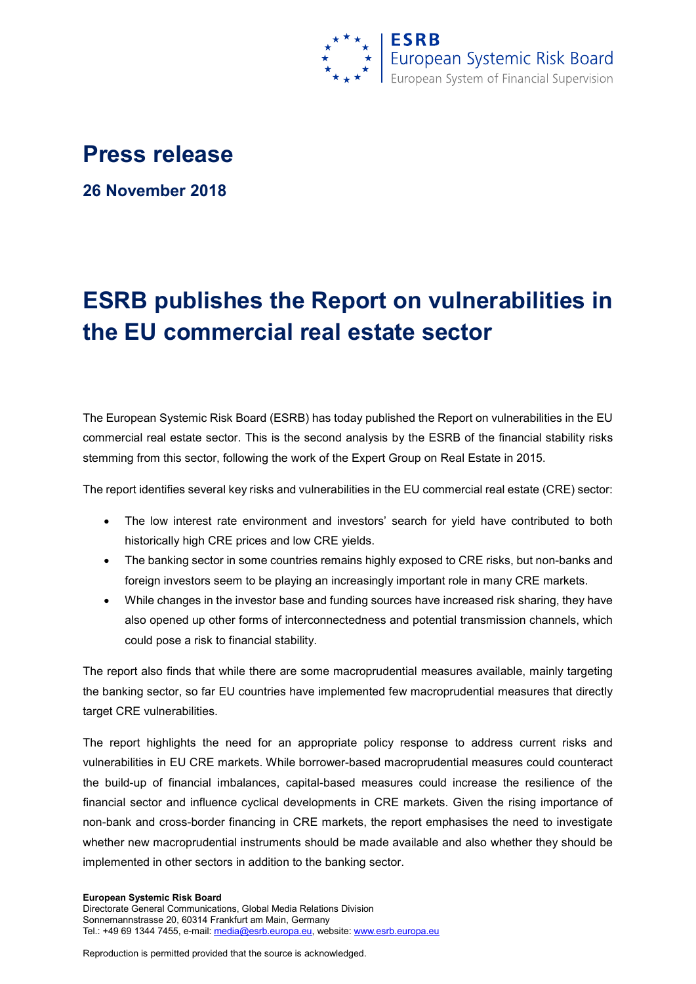

## **Press release**

**26 November 2018**

## **ESRB publishes the Report on vulnerabilities in the EU commercial real estate sector**

The European Systemic Risk Board (ESRB) has today published the Report on vulnerabilities in the EU commercial real estate sector. This is the second analysis by the ESRB of the financial stability risks stemming from this sector, following the work of the Expert Group on Real Estate in 2015.

The report identifies several key risks and vulnerabilities in the EU commercial real estate (CRE) sector:

- The low interest rate environment and investors' search for yield have contributed to both historically high CRE prices and low CRE yields.
- The banking sector in some countries remains highly exposed to CRE risks, but non-banks and foreign investors seem to be playing an increasingly important role in many CRE markets.
- While changes in the investor base and funding sources have increased risk sharing, they have also opened up other forms of interconnectedness and potential transmission channels, which could pose a risk to financial stability.

The report also finds that while there are some macroprudential measures available, mainly targeting the banking sector, so far EU countries have implemented few macroprudential measures that directly target CRE vulnerabilities.

The report highlights the need for an appropriate policy response to address current risks and vulnerabilities in EU CRE markets. While borrower-based macroprudential measures could counteract the build-up of financial imbalances, capital-based measures could increase the resilience of the financial sector and influence cyclical developments in CRE markets. Given the rising importance of non-bank and cross-border financing in CRE markets, the report emphasises the need to investigate whether new macroprudential instruments should be made available and also whether they should be implemented in other sectors in addition to the banking sector.